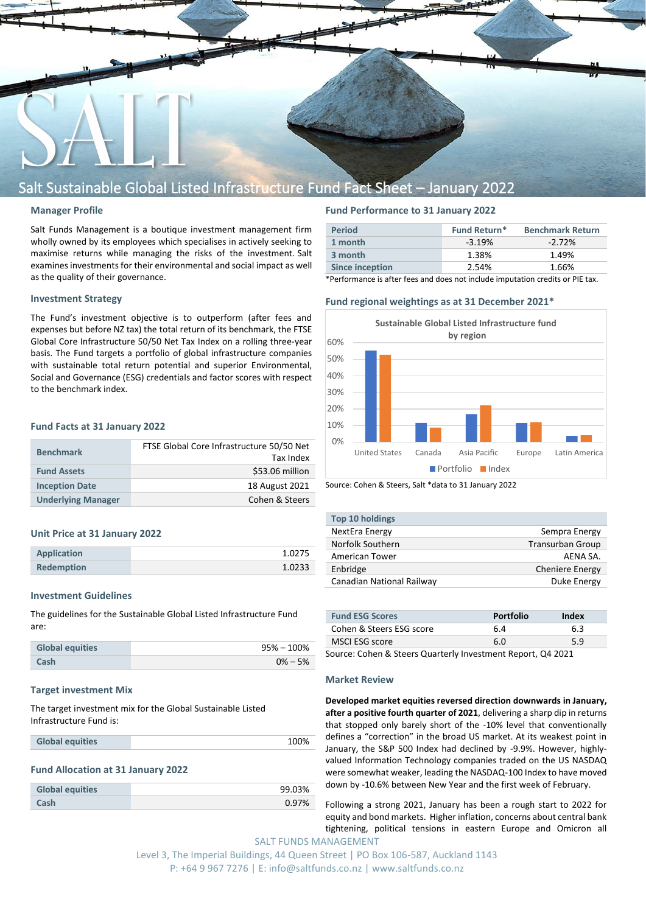

# Salt Sustainable Global Listed Infrastructure Fund Fact Sheet – January 2022

#### **Manager Profile**

Salt Funds Management is a boutique investment management firm wholly owned by its employees which specialises in actively seeking to maximise returns while managing the risks of the investment. Salt examines investments for their environmental and social impact as well as the quality of their governance.

# **Investment Strategy**

The Fund's investment objective is to outperform (after fees and expenses but before NZ tax) the total return of its benchmark, the FTSE Global Core Infrastructure 50/50 Net Tax Index on a rolling three-year basis. The Fund targets a portfolio of global infrastructure companies with sustainable total return potential and superior Environmental, Social and Governance (ESG) credentials and factor scores with respect to the benchmark index.

## **Fund Facts at 31 January 2022**

| <b>Benchmark</b>          | FTSE Global Core Infrastructure 50/50 Net<br>Tax Index |
|---------------------------|--------------------------------------------------------|
| <b>Fund Assets</b>        | \$53.06 million                                        |
| <b>Inception Date</b>     | 18 August 2021                                         |
| <b>Underlying Manager</b> | Cohen & Steers                                         |

#### **Unit Price at 31 January 2022**

| <b>Application</b> | 1.0275 |
|--------------------|--------|
| <b>Redemption</b>  | 1.0233 |

#### **Investment Guidelines**

The guidelines for the Sustainable Global Listed Infrastructure Fund are:

| <b>Global equities</b> | $95\% - 100\%$ |
|------------------------|----------------|
| Cash                   | $0\% - 5\%$    |

#### **Target investment Mix**

The target investment mix for the Global Sustainable Listed Infrastructure Fund is:

| <b>Global equities</b> | 100% |
|------------------------|------|
|------------------------|------|

#### **Fund Allocation at 31 January 2022**

| <b>Global equities</b> | 99.03% |
|------------------------|--------|
| Cash                   | 0.97%  |

# **Fund Performance to 31 January 2022**

| <b>Period</b>          | <b>Fund Return*</b> | <b>Benchmark Return</b> |
|------------------------|---------------------|-------------------------|
| 1 month                | $-3.19%$            | $-2.72\%$               |
| 3 month                | 1.38%               | 1.49%                   |
| <b>Since inception</b> | 2.54%               | 1.66%                   |

\*Performance is after fees and does not include imputation credits or PIE tax.

# **Fund regional weightings as at 31 December 2021\***





| <b>Top 10 holdings</b>    |                         |
|---------------------------|-------------------------|
| NextEra Energy            | Sempra Energy           |
| Norfolk Southern          | <b>Transurban Group</b> |
| American Tower            | AFNA SA.                |
| Enbridge                  | <b>Cheniere Energy</b>  |
| Canadian National Railway | Duke Energy             |

| <b>Fund ESG Scores</b>   | <b>Portfolio</b> | Index |
|--------------------------|------------------|-------|
| Cohen & Steers ESG score | 6.4              | 6.3   |
| MSCI ESG score           | 6.0              | 5.9   |

Source: Cohen & Steers Quarterly Investment Report, Q4 2021

#### **Market Review**

**Developed market equities reversed direction downwards in January, after a positive fourth quarter of 2021**, delivering a sharp dip in returns that stopped only barely short of the -10% level that conventionally defines a "correction" in the broad US market. At its weakest point in January, the S&P 500 Index had declined by -9.9%. However, highlyvalued Information Technology companies traded on the US NASDAQ were somewhat weaker, leading the NASDAQ-100 Index to have moved down by -10.6% between New Year and the first week of February.

SALT FUNDS MANAGEMENT Following a strong 2021, January has been a rough start to 2022 for equity and bond markets. Higher inflation, concerns about central bank tightening, political tensions in eastern Europe and Omicron all

Level 3, The Imperial Buildings, 44 Queen Street | PO Box 106-587, Auckland 1143 P: +64 9 967 7276 | E: info@saltfunds.co.nz | www.saltfunds.co.nz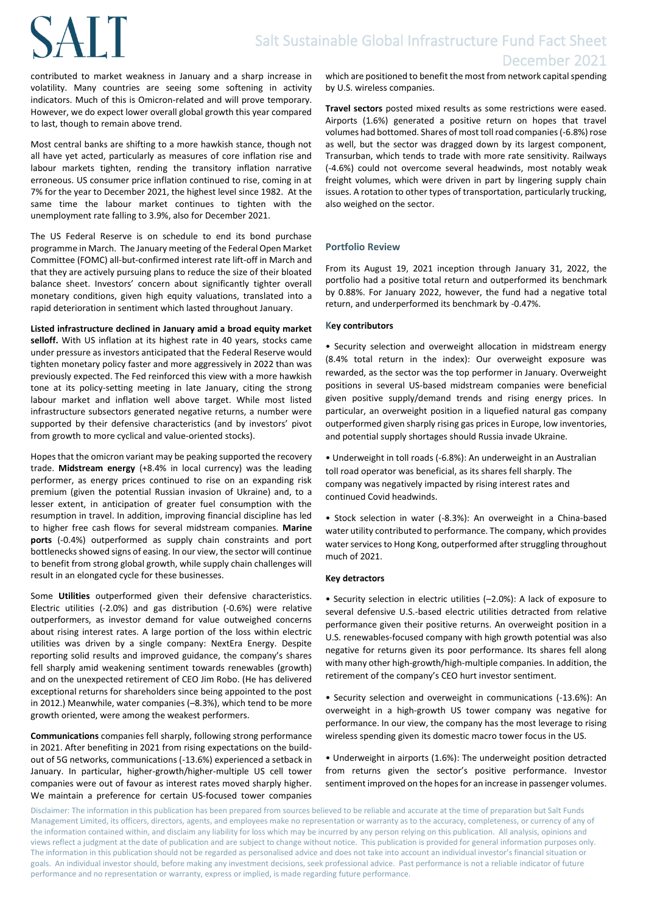# **SALT**

contributed to market weakness in January and a sharp increase in volatility. Many countries are seeing some softening in activity indicators. Much of this is Omicron-related and will prove temporary. However, we do expect lower overall global growth this year compared to last, though to remain above trend.

Most central banks are shifting to a more hawkish stance, though not all have yet acted, particularly as measures of core inflation rise and labour markets tighten, rending the transitory inflation narrative erroneous. US consumer price inflation continued to rise, coming in at 7% for the year to December 2021, the highest level since 1982. At the same time the labour market continues to tighten with the unemployment rate falling to 3.9%, also for December 2021.

The US Federal Reserve is on schedule to end its bond purchase programme in March. The January meeting of the Federal Open Market Committee (FOMC) all-but-confirmed interest rate lift-off in March and that they are actively pursuing plans to reduce the size of their bloated balance sheet. Investors' concern about significantly tighter overall monetary conditions, given high equity valuations, translated into a rapid deterioration in sentiment which lasted throughout January.

**Listed infrastructure declined in January amid a broad equity market** 

**selloff.** With US inflation at its highest rate in 40 years, stocks came under pressure as investors anticipated that the Federal Reserve would tighten monetary policy faster and more aggressively in 2022 than was previously expected. The Fed reinforced this view with a more hawkish tone at its policy-setting meeting in late January, citing the strong labour market and inflation well above target. While most listed infrastructure subsectors generated negative returns, a number were supported by their defensive characteristics (and by investors' pivot from growth to more cyclical and value-oriented stocks).

Hopes that the omicron variant may be peaking supported the recovery trade. **Midstream energy** (+8.4% in local currency) was the leading performer, as energy prices continued to rise on an expanding risk premium (given the potential Russian invasion of Ukraine) and, to a lesser extent, in anticipation of greater fuel consumption with the resumption in travel. In addition, improving financial discipline has led to higher free cash flows for several midstream companies. **Marine ports** (-0.4%) outperformed as supply chain constraints and port bottlenecks showed signs of easing. In our view, the sector will continue to benefit from strong global growth, while supply chain challenges will result in an elongated cycle for these businesses.

Some **Utilities** outperformed given their defensive characteristics. Electric utilities (-2.0%) and gas distribution (-0.6%) were relative outperformers, as investor demand for value outweighed concerns about rising interest rates. A large portion of the loss within electric utilities was driven by a single company: NextEra Energy. Despite reporting solid results and improved guidance, the company's shares fell sharply amid weakening sentiment towards renewables (growth) and on the unexpected retirement of CEO Jim Robo. (He has delivered exceptional returns for shareholders since being appointed to the post in 2012.) Meanwhile, water companies (–8.3%), which tend to be more growth oriented, were among the weakest performers.

**Communications** companies fell sharply, following strong performance in 2021. After benefiting in 2021 from rising expectations on the buildout of 5G networks, communications (-13.6%) experienced a setback in January. In particular, higher-growth/higher-multiple US cell tower companies were out of favour as interest rates moved sharply higher. We maintain a preference for certain US-focused tower companies

which are positioned to benefit the most from network capital spending by U.S. wireless companies.

**Travel sectors** posted mixed results as some restrictions were eased. Airports (1.6%) generated a positive return on hopes that travel volumes had bottomed. Shares of most toll road companies (-6.8%) rose as well, but the sector was dragged down by its largest component, Transurban, which tends to trade with more rate sensitivity. Railways (-4.6%) could not overcome several headwinds, most notably weak freight volumes, which were driven in part by lingering supply chain issues. A rotation to other types of transportation, particularly trucking, also weighed on the sector.

# **Portfolio Review**

From its August 19, 2021 inception through January 31, 2022, the portfolio had a positive total return and outperformed its benchmark by 0.88%. For January 2022, however, the fund had a negative total return, and underperformed its benchmark by -0.47%.

# **Key contributors**

• Security selection and overweight allocation in midstream energy (8.4% total return in the index): Our overweight exposure was rewarded, as the sector was the top performer in January. Overweight positions in several US-based midstream companies were beneficial given positive supply/demand trends and rising energy prices. In particular, an overweight position in a liquefied natural gas company outperformed given sharply rising gas prices in Europe, low inventories, and potential supply shortages should Russia invade Ukraine.

• Underweight in toll roads (-6.8%): An underweight in an Australian toll road operator was beneficial, as its shares fell sharply. The company was negatively impacted by rising interest rates and continued Covid headwinds.

• Stock selection in water (-8.3%): An overweight in a China-based water utility contributed to performance. The company, which provides water services to Hong Kong, outperformed after struggling throughout much of 2021.

# **Key detractors**

• Security selection in electric utilities (–2.0%): A lack of exposure to several defensive U.S.-based electric utilities detracted from relative performance given their positive returns. An overweight position in a U.S. renewables-focused company with high growth potential was also negative for returns given its poor performance. Its shares fell along with many other high-growth/high-multiple companies. In addition, the retirement of the company's CEO hurt investor sentiment.

• Security selection and overweight in communications (-13.6%): An overweight in a high-growth US tower company was negative for performance. In our view, the company has the most leverage to rising wireless spending given its domestic macro tower focus in the US.

• Underweight in airports (1.6%): The underweight position detracted from returns given the sector's positive performance. Investor sentiment improved on the hopes for an increase in passenger volumes.

Disclaimer: The information in this publication has been prepared from sources believed to be reliable and accurate at the time of preparation but Salt Funds Management Limited, its officers, directors, agents, and employees make no representation or warranty as to the accuracy, completeness, or currency of any of the information contained within, and disclaim any liability for loss which may be incurred by any person relying on this publication. All analysis, opinions and views reflect a judgment at the date of publication and are subject to change without notice. This publication is provided for general information purposes only. The information in this publication should not be regarded as personalised advice and does not take into account an individual investor's financial situation or goals. An individual investor should, before making any investment decisions, seek professional advice. Past performance is not a reliable indicator of future performance and no representation or warranty, express or implied, is made regarding future performance.